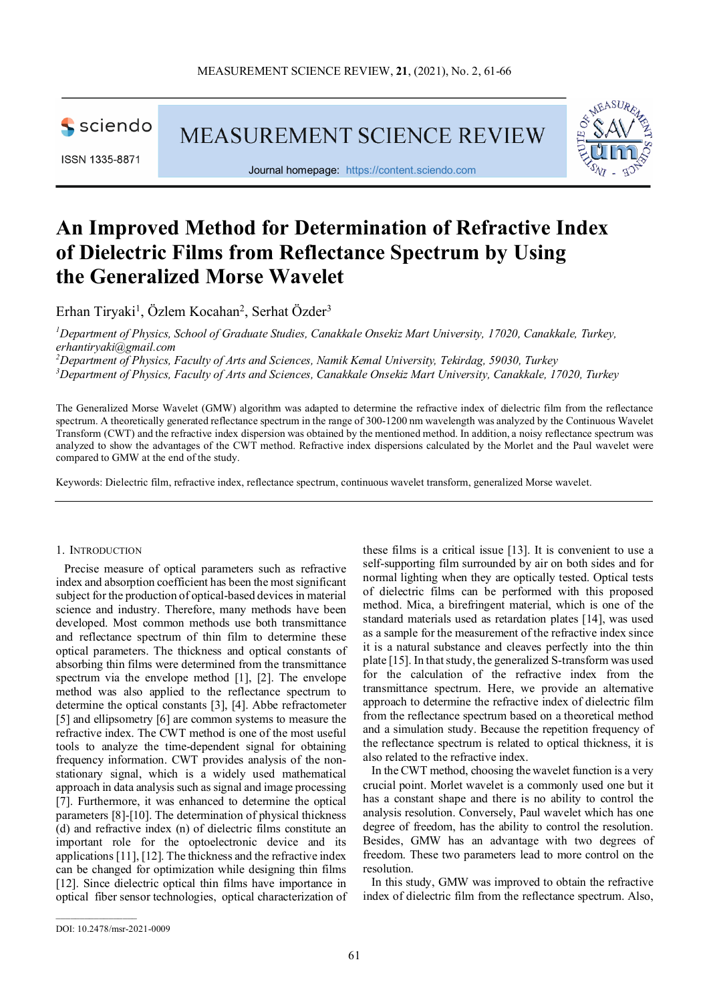

ISSN 1335-8871

MEASUREMENT SCIENCE REVIEW



Journal homepage: [https://content.sciendo.com](https://content.sciendo.com/view/journals/msr/msr-overview.xml)

# **An Improved Method for Determination of Refractive Index of Dielectric Films from Reflectance Spectrum by Using the Generalized Morse Wavelet**

Erhan Tiryaki<sup>1</sup>, Özlem Kocahan<sup>2</sup>, Serhat Özder<sup>3</sup>

*1 Department of Physics, School of Graduate Studies, Canakkale Onsekiz Mart University, 17020, Canakkale, Turkey, erhantiryaki@gmail.com*

*2 Department of Physics, Faculty of Arts and Sciences, Namik Kemal University, Tekirdag, 59030, Turkey 3 Department of Physics, Faculty of Arts and Sciences, Canakkale Onsekiz Mart University, Canakkale, 17020, Turkey*

The Generalized Morse Wavelet (GMW) algorithm was adapted to determine the refractive index of dielectric film from the reflectance spectrum. A theoretically generated reflectance spectrum in the range of 300-1200 nm wavelength was analyzed by the Continuous Wavelet Transform (CWT) and the refractive index dispersion was obtained by the mentioned method. In addition, a noisy reflectance spectrum was analyzed to show the advantages of the CWT method. Refractive index dispersions calculated by the Morlet and the Paul wavelet were compared to GMW at the end of the study.

Keywords: Dielectric film, refractive index, reflectance spectrum, continuous wavelet transform, generalized Morse wavelet.

#### 1. INTRODUCTION

Precise measure of optical parameters such as refractive index and absorption coefficient has been the most significant subject for the production of optical-based devices in material science and industry. Therefore, many methods have been developed. Most common methods use both transmittance and reflectance spectrum of thin film to determine these optical parameters. The thickness and optical constants of absorbing thin films were determined from the transmittance spectrum via the envelope method [1], [2]. The envelope method was also applied to the reflectance spectrum to determine the optical constants [3], [4]. Abbe refractometer [5] and ellipsometry [6] are common systems to measure the refractive index. The CWT method is one of the most useful tools to analyze the time-dependent signal for obtaining frequency information. CWT provides analysis of the nonstationary signal, which is a widely used mathematical approach in data analysis such as signal and image processing [7]. Furthermore, it was enhanced to determine the optical parameters [8]-[10]. The determination of physical thickness (d) and refractive index (n) of dielectric films constitute an important role for the optoelectronic device and its applications [11], [12]. The thickness and the refractive index can be changed for optimization while designing thin films [12]. Since dielectric optical thin films have importance in optical fiber sensor technologies, optical characterization of

these films is a critical issue [13]. It is convenient to use a self-supporting film surrounded by air on both sides and for normal lighting when they are optically tested. Optical tests of dielectric films can be performed with this proposed method. Mica, a birefringent material, which is one of the standard materials used as retardation plates [14], was used as a sample for the measurement of the refractive index since it is a natural substance and cleaves perfectly into the thin plate [15]. In that study, the generalized S-transform was used for the calculation of the refractive index from the transmittance spectrum. Here, we provide an alternative approach to determine the refractive index of dielectric film from the reflectance spectrum based on a theoretical method and a simulation study. Because the repetition frequency of the reflectance spectrum is related to optical thickness, it is also related to the refractive index.

In the CWT method, choosing the wavelet function is a very crucial point. Morlet wavelet is a commonly used one but it has a constant shape and there is no ability to control the analysis resolution. Conversely, Paul wavelet which has one degree of freedom, has the ability to control the resolution. Besides, GMW has an advantage with two degrees of freedom. These two parameters lead to more control on the resolution.

In this study, GMW was improved to obtain the refractive index of dielectric film from the reflectance spectrum. Also,

 $\mathcal{L}=\mathcal{L}^{\mathcal{L}}$  , where  $\mathcal{L}^{\mathcal{L}}$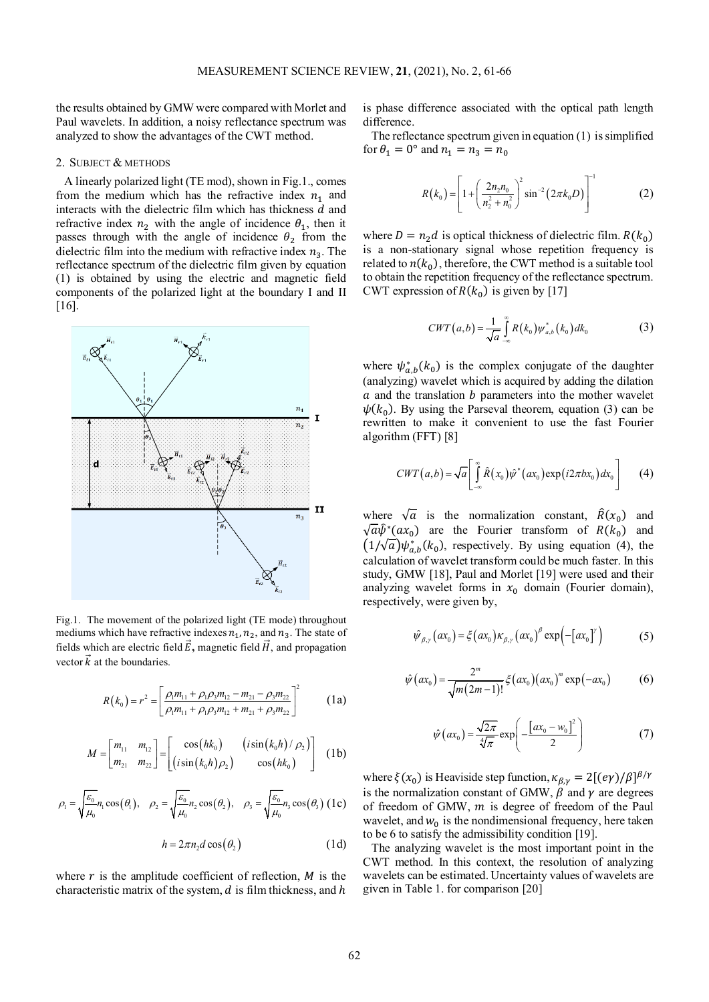the results obtained by GMW were compared with Morlet and Paul wavelets. In addition, a noisy reflectance spectrum was analyzed to show the advantages of the CWT method.

#### 2. SUBJECT & METHODS

A linearly polarized light (TE mod), shown in Fig.1., comes from the medium which has the refractive index  $n_1$  and interacts with the dielectric film which has thickness  $d$  and refractive index  $n_2$  with the angle of incidence  $\theta_1$ , then it passes through with the angle of incidence  $\theta_2$  from the dielectric film into the medium with refractive index  $n_3$ . The reflectance spectrum of the dielectric film given by equation (1) is obtained by using the electric and magnetic field components of the polarized light at the boundary I and II [16].



Fig.1. The movement of the polarized light (TE mode) throughout mediums which have refractive indexes  $n_1$ ,  $n_2$ , and  $n_3$ . The state of fields which are electric field  $\vec{E}$ , magnetic field  $\vec{H}$ , and propagation vector  $\vec{k}$  at the boundaries.

$$
R(k_0) = r^2 = \left[ \frac{\rho_1 m_{11} + \rho_1 \rho_3 m_{12} - m_{21} - \rho_3 m_{22}}{\rho_1 m_{11} + \rho_1 \rho_3 m_{12} + m_{21} + \rho_3 m_{22}} \right]^2
$$
 (1a)

$$
M = \begin{bmatrix} m_{11} & m_{12} \\ m_{21} & m_{22} \end{bmatrix} = \begin{bmatrix} \cos(hk_0) & (\sin(k_0 h)/\rho_2) \\ (\sin(k_0 h)/\rho_2) & \cos(hk_0) \end{bmatrix}
$$
 (1b)

$$
\rho_1 = \sqrt{\frac{\varepsilon_0}{\mu_0}} n_1 \cos(\theta_1), \quad \rho_2 = \sqrt{\frac{\varepsilon_0}{\mu_0}} n_2 \cos(\theta_2), \quad \rho_3 = \sqrt{\frac{\varepsilon_0}{\mu_0}} n_3 \cos(\theta_3)
$$
 (1c)

$$
h = 2\pi n_2 d \cos(\theta_2) \tag{1d}
$$

where  $r$  is the amplitude coefficient of reflection,  $M$  is the characteristic matrix of the system,  $d$  is film thickness, and  $h$  is phase difference associated with the optical path length difference.

The reflectance spectrum given in equation (1) issimplified for  $\theta_1 = 0^\circ$  and  $n_1 = n_3 = n_0$ 

$$
R(k_0) = \left[1 + \left(\frac{2n_2n_0}{n_2^2 + n_0^2}\right)^2 \sin^{-2}\left(2\pi k_0 D\right)\right]^{-1} \tag{2}
$$

where  $D = n_2 d$  is optical thickness of dielectric film.  $R(k_0)$ is a non-stationary signal whose repetition frequency is related to  $n(k_0)$ , therefore, the CWT method is a suitable tool to obtain the repetition frequency of the reflectance spectrum. CWT expression of  $R(k_0)$  is given by [17]

$$
CWT(a,b) = \frac{1}{\sqrt{a}} \int_{-\infty}^{\infty} R(k_0) \psi_{a,b}^*(k_0) dk_0
$$
 (3)

where  $\psi_{a,b}^*(k_0)$  is the complex conjugate of the daughter (analyzing) wavelet which is acquired by adding the dilation  $a$  and the translation  $b$  parameters into the mother wavelet  $\psi(k_0)$ . By using the Parseval theorem, equation (3) can be rewritten to make it convenient to use the fast Fourier algorithm (FFT) [8]

$$
CWT(a,b) = \sqrt{a} \left[ \int_{-\infty}^{\infty} \hat{R}(x_0) \hat{\psi}^*(ax_0) \exp(i2\pi bx_0) dx_0 \right]
$$
 (4)

where  $\sqrt{a}$  is the normalization constant,  $\hat{R}(x_0)$  and  $\sqrt{a}\hat{\psi}^*(ax_0)$  are the Fourier transform of  $R(k_0)$  and  $(1/\sqrt{a})\psi_{a,b}^*(k_0)$ , respectively. By using equation (4), the calculation of wavelet transform could be much faster. In this study, GMW [18], Paul and Morlet [19] were used and their analyzing wavelet forms in  $x_0$  domain (Fourier domain), respectively, were given by,

$$
\hat{\psi}_{\beta,\gamma}(ax_0) = \xi(ax_0)\kappa_{\beta,\gamma}(ax_0)^{\beta}\exp\left(-[ax_0]^{\gamma}\right) \tag{5}
$$

$$
\hat{\psi}(ax_0) = \frac{2^m}{\sqrt{m(2m-1)!}} \xi(ax_0)(ax_0)^m \exp(-ax_0)
$$
 (6)

$$
\hat{\psi}\left(ax_{0}\right) = \frac{\sqrt{2\pi}}{\sqrt[4]{\pi}} \exp\left(-\frac{\left[a x_{0} - w_{0}\right]^{2}}{2}\right) \tag{7}
$$

where  $\xi(x_0)$  is Heaviside step function,  $\kappa_{\beta,\gamma} = 2[(e\gamma)/\beta]^{\beta/\gamma}$ is the normalization constant of GMW,  $\beta$  and  $\gamma$  are degrees of freedom of GMW,  $m$  is degree of freedom of the Paul wavelet, and  $w_0$  is the nondimensional frequency, here taken to be 6 to satisfy the admissibility condition [19].

The analyzing wavelet is the most important point in the CWT method. In this context, the resolution of analyzing wavelets can be estimated. Uncertainty values of wavelets are given in Table 1. for comparison [20]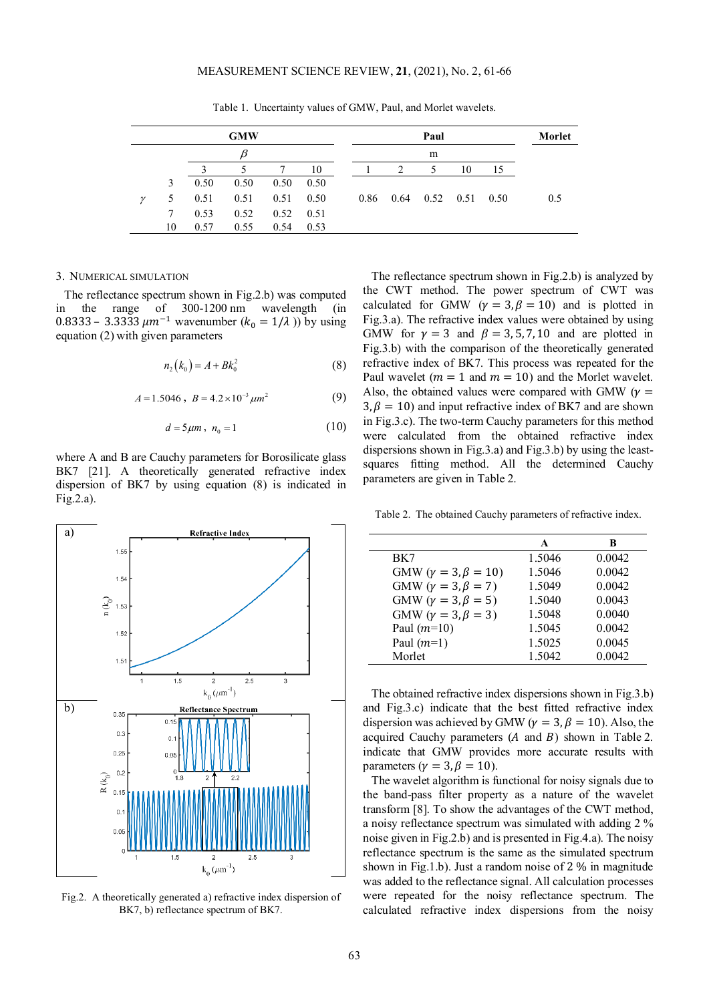Table 1. Uncertainty values of GMW, Paul, and Morlet wavelets.

|              |    |      | <b>GMW</b> |      |      |      |                | Paul              |    |      | Morlet |
|--------------|----|------|------------|------|------|------|----------------|-------------------|----|------|--------|
|              |    |      | β          |      |      |      |                | m                 |    |      |        |
|              |    |      | 5.         |      | 10   |      | $\mathfrak{D}$ | 5                 | 10 | 15   |        |
|              | 3  | 0.50 | 0.50       | 0.50 | 0.50 |      |                |                   |    |      |        |
| $\mathcal V$ | 5  | 0.51 | 0.51       | 0.51 | 0.50 | 0.86 | 0.64           | $0.52 \quad 0.51$ |    | 0.50 | 0.5    |
|              | 7  | 0.53 | 0.52       | 0.52 | 0.51 |      |                |                   |    |      |        |
|              | 10 | 0.57 | 0.55       | 0.54 | 0.53 |      |                |                   |    |      |        |

#### 3. NUMERICAL SIMULATION

The reflectance spectrum shown in Fig.2.b) was computed in the range of 300-1200 nm wavelength (in 0.8333 – 3.3333  $\mu m^{-1}$  wavenumber  $(k_0 = 1/\lambda)$  by using equation (2) with given parameters

$$
n_2(k_0) = A + Bk_0^2
$$
 (8)

 $A = 1.5046$ ,  $B = 4.2 \times 10^{-3} \mu m^2$  (9)

$$
d = 5\mu m, \quad n_0 = 1 \tag{10}
$$

where A and B are Cauchy parameters for Borosilicate glass BK7 [21]. A theoretically generated refractive index dispersion of BK7 by using equation (8) is indicated in Fig.2.a).



Fig.2. A theoretically generated a) refractive index dispersion of BK7, b) reflectance spectrum of BK7.

The reflectance spectrum shown in Fig.2.b) is analyzed by the CWT method. The power spectrum of CWT was calculated for GMW ( $\gamma = 3, \beta = 10$ ) and is plotted in Fig.3.a). The refractive index values were obtained by using GMW for  $\gamma = 3$  and  $\beta = 3, 5, 7, 10$  and are plotted in Fig.3.b) with the comparison of the theoretically generated refractive index of BK7. This process was repeated for the Paul wavelet ( $m = 1$  and  $m = 10$ ) and the Morlet wavelet. Also, the obtained values were compared with GMW ( $\gamma$  =  $3, \beta = 10$ ) and input refractive index of BK7 and are shown in Fig.3.c). The two-term Cauchy parameters for this method were calculated from the obtained refractive index dispersions shown in Fig.3.a) and Fig.3.b) by using the leastsquares fitting method. All the determined Cauchy parameters are given in Table 2.

Table 2. The obtained Cauchy parameters of refractive index.

|                                  | A      | B      |
|----------------------------------|--------|--------|
| BK7                              | 1.5046 | 0.0042 |
| GMW ( $\gamma = 3, \beta = 10$ ) | 1.5046 | 0.0042 |
| GMW ( $\gamma = 3, \beta = 7$ )  | 1.5049 | 0.0042 |
| GMW ( $\gamma = 3, \beta = 5$ )  | 1.5040 | 0.0043 |
| GMW ( $\gamma = 3, \beta = 3$ )  | 1.5048 | 0.0040 |
| Paul $(m=10)$                    | 1.5045 | 0.0042 |
| Paul $(m=1)$                     | 1.5025 | 0.0045 |
| Morlet                           | 1.5042 | 0.0042 |

The obtained refractive index dispersions shown in Fig.3.b) and Fig.3.c) indicate that the best fitted refractive index dispersion was achieved by GMW ( $\gamma = 3$ ,  $\beta = 10$ ). Also, the acquired Cauchy parameters  $(A \text{ and } B)$  shown in Table 2. indicate that GMW provides more accurate results with parameters ( $\gamma = 3, \beta = 10$ ).

The wavelet algorithm is functional for noisy signals due to the band-pass filter property as a nature of the wavelet transform [8]. To show the advantages of the CWT method, a noisy reflectance spectrum was simulated with adding 2 % noise given in Fig.2.b) and is presented in Fig.4.a). The noisy reflectance spectrum is the same as the simulated spectrum shown in Fig.1.b). Just a random noise of 2 % in magnitude was added to the reflectance signal. All calculation processes were repeated for the noisy reflectance spectrum. The calculated refractive index dispersions from the noisy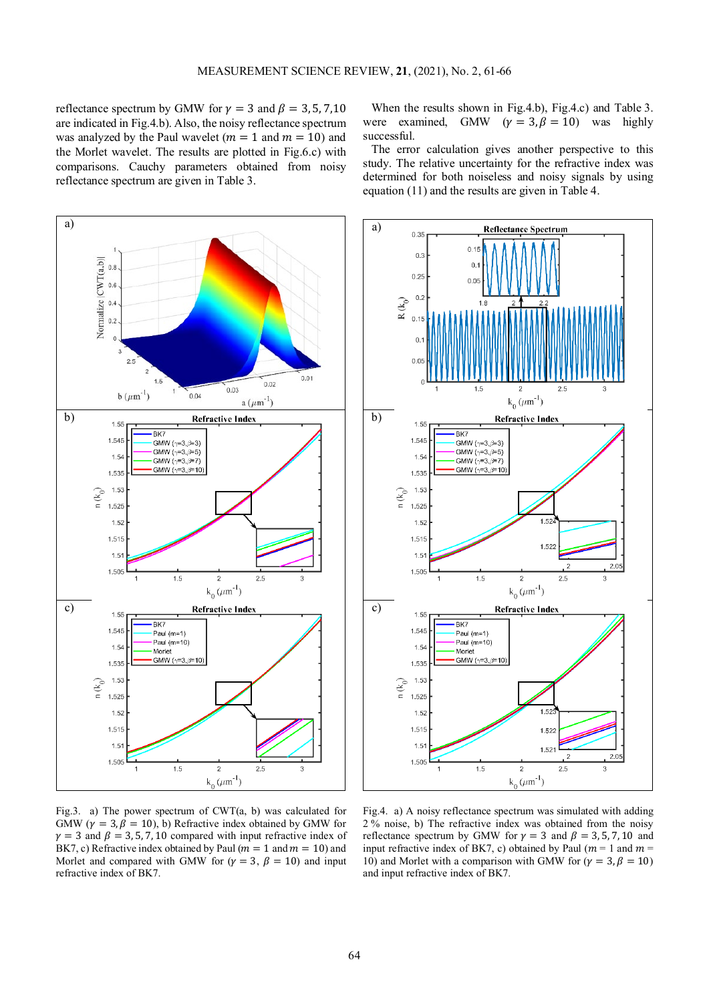reflectance spectrum by GMW for  $\gamma = 3$  and  $\beta = 3, 5, 7, 10$ are indicated in Fig.4.b). Also, the noisy reflectance spectrum was analyzed by the Paul wavelet ( $m = 1$  and  $m = 10$ ) and the Morlet wavelet. The results are plotted in Fig.6.c) with comparisons. Cauchy parameters obtained from noisy reflectance spectrum are given in Table 3.



Fig.3. a) The power spectrum of CWT(a, b) was calculated for GMW ( $\gamma = 3$ ,  $\beta = 10$ ), b) Refractive index obtained by GMW for  $\gamma = 3$  and  $\beta = 3, 5, 7, 10$  compared with input refractive index of BK7, c) Refractive index obtained by Paul ( $m = 1$  and  $m = 10$ ) and Morlet and compared with GMW for  $(\gamma = 3, \beta = 10)$  and input refractive index of BK7.

When the results shown in Fig.4.b), Fig.4.c) and Table 3. were examined, GMW  $(\gamma = 3, \beta = 10)$  was highly successful.

The error calculation gives another perspective to this study. The relative uncertainty for the refractive index was determined for both noiseless and noisy signals by using equation (11) and the results are given in Table 4.



Fig.4. a) A noisy reflectance spectrum was simulated with adding 2 % noise, b) The refractive index was obtained from the noisy reflectance spectrum by GMW for  $\gamma = 3$  and  $\beta = 3, 5, 7, 10$  and input refractive index of BK7, c) obtained by Paul ( $m = 1$  and  $m =$ 10) and Morlet with a comparison with GMW for ( $\gamma = 3, \beta = 10$ ) and input refractive index of BK7.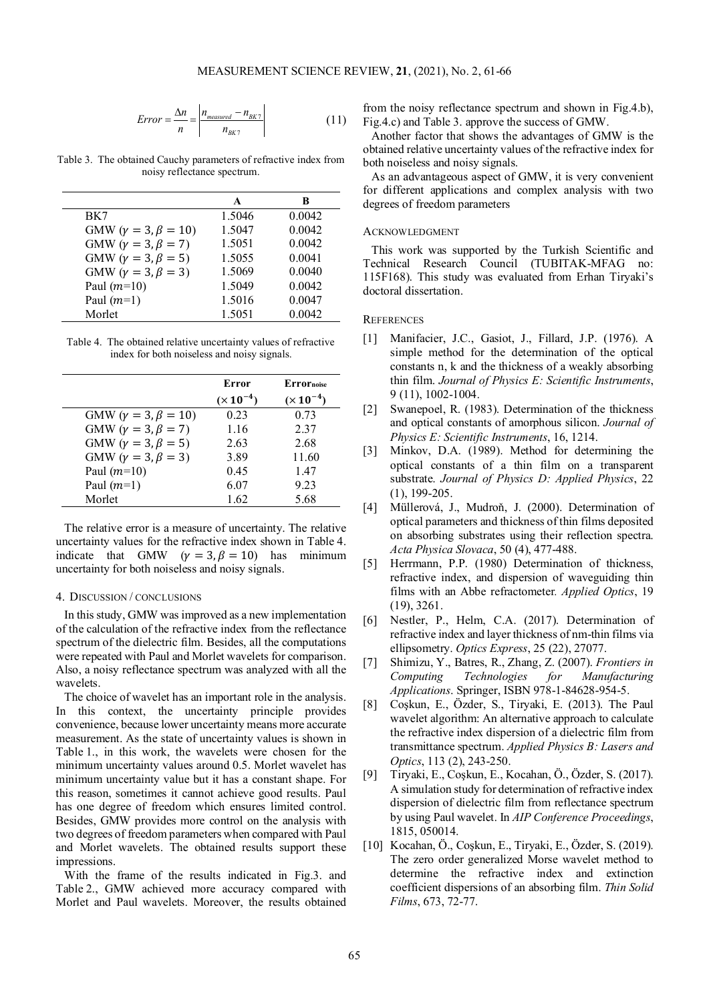$$
Error = \frac{\Delta n}{n} = \left| \frac{n_{measured} - n_{BK7}}{n_{BK7}} \right| \tag{11}
$$

Table 3. The obtained Cauchy parameters of refractive index from noisy reflectance spectrum.

|                                  | A      | B      |
|----------------------------------|--------|--------|
|                                  |        |        |
| BK7                              | 1.5046 | 0.0042 |
| GMW ( $\gamma = 3, \beta = 10$ ) | 1.5047 | 0.0042 |
| GMW ( $\gamma = 3, \beta = 7$ )  | 1.5051 | 0.0042 |
| GMW ( $\gamma = 3, \beta = 5$ )  | 1.5055 | 0.0041 |
| GMW ( $\gamma = 3, \beta = 3$ )  | 1.5069 | 0.0040 |
| Paul $(m=10)$                    | 1.5049 | 0.0042 |
| Paul $(m=1)$                     | 1.5016 | 0.0047 |
| Morlet                           | 1.5051 | 0.0042 |

Table 4. The obtained relative uncertainty values of refractive index for both noiseless and noisy signals.

|                                  | Error         | Errornoise    |
|----------------------------------|---------------|---------------|
|                                  | $(x 10^{-4})$ | $(x 10^{-4})$ |
| GMW ( $\gamma = 3, \beta = 10$ ) | 0.23          | 0.73          |
| GMW ( $\gamma = 3, \beta = 7$ )  | 1.16          | 2.37          |
| GMW ( $\gamma = 3, \beta = 5$ )  | 2.63          | 2.68          |
| GMW ( $\gamma = 3, \beta = 3$ )  | 3.89          | 11.60         |
| Paul $(m=10)$                    | 0.45          | 1.47          |
| Paul $(m=1)$                     | 6.07          | 923           |
| Morlet                           | 1.62          | 5.68          |

The relative error is a measure of uncertainty. The relative uncertainty values for the refractive index shown in Table 4. indicate that GMW ( $\gamma = 3, \beta = 10$ ) has minimum uncertainty for both noiseless and noisy signals.

## 4. DISCUSSION / CONCLUSIONS

In this study, GMW was improved as a new implementation of the calculation of the refractive index from the reflectance spectrum of the dielectric film. Besides, all the computations were repeated with Paul and Morlet wavelets for comparison. Also, a noisy reflectance spectrum was analyzed with all the wavelets.

The choice of wavelet has an important role in the analysis. In this context, the uncertainty principle provides convenience, because lower uncertainty means more accurate measurement. As the state of uncertainty values is shown in Table 1., in this work, the wavelets were chosen for the minimum uncertainty values around 0.5. Morlet wavelet has minimum uncertainty value but it has a constant shape. For this reason, sometimes it cannot achieve good results. Paul has one degree of freedom which ensures limited control. Besides, GMW provides more control on the analysis with two degrees of freedom parameters when compared with Paul and Morlet wavelets. The obtained results support these impressions.

With the frame of the results indicated in Fig.3. and Table 2., GMW achieved more accuracy compared with Morlet and Paul wavelets. Moreover, the results obtained from the noisy reflectance spectrum and shown in Fig.4.b), Fig.4.c) and Table 3. approve the success of GMW.

Another factor that shows the advantages of GMW is the obtained relative uncertainty values of the refractive index for both noiseless and noisy signals.

As an advantageous aspect of GMW, it is very convenient for different applications and complex analysis with two degrees of freedom parameters

## ACKNOWLEDGMENT

This work was supported by the Turkish Scientific and Technical Research Council (TUBITAK-MFAG no: 115F168). This study was evaluated from Erhan Tiryaki's doctoral dissertation.

### **REFERENCES**

- [1] Manifacier, J.C., Gasiot, J., Fillard, J.P. (1976). A simple method for the determination of the optical constants n, k and the thickness of a weakly absorbing thin film. *Journal of Physics E: Scientific Instruments*, 9 (11), 1002-1004.
- [2] Swanepoel, R. (1983). Determination of the thickness and optical constants of amorphous silicon. *Journal of Physics E: Scientific Instruments*, 16, 1214.
- [3] Minkov, D.A. (1989). Method for determining the optical constants of a thin film on a transparent substrate. *Journal of Physics D: Applied Physics*, 22 (1), 199-205.
- [4] Müllerová, J., Mudroň, J. (2000). Determination of optical parameters and thickness of thin films deposited on absorbing substrates using their reflection spectra. *Acta Physica Slovaca*, 50 (4), 477-488.
- [5] Herrmann, P.P. (1980) Determination of thickness, refractive index, and dispersion of waveguiding thin films with an Abbe refractometer*. Applied Optics*, 19 (19), 3261.
- [6] Nestler, P., Helm, C.A. (2017). Determination of refractive index and layer thickness of nm-thin films via ellipsometry. *Optics Express*, 25 (22), 27077.
- [7] Shimizu, Y., Batres, R., Zhang, Z. (2007). *Frontiers in Computing Technologies for Manufacturing Applications*. Springer, ISBN 978-1-84628-954-5.
- [8] Coşkun, E., Özder, S., Tiryaki, E. (2013). The Paul wavelet algorithm: An alternative approach to calculate the refractive index dispersion of a dielectric film from transmittance spectrum. *Applied Physics B: Lasers and Optics*, 113 (2), 243-250.
- [9] Tiryaki, E., Coşkun, E., Kocahan, Ö., Özder, S. (2017). A simulation study for determination of refractive index dispersion of dielectric film from reflectance spectrum by using Paul wavelet. In *AIP Conference Proceedings*, 1815, 050014.
- [10] Kocahan, Ö., Coşkun, E., Tiryaki, E., Özder, S. (2019). The zero order generalized Morse wavelet method to determine the refractive index and extinction coefficient dispersions of an absorbing film. *Thin Solid Films*, 673, 72-77.